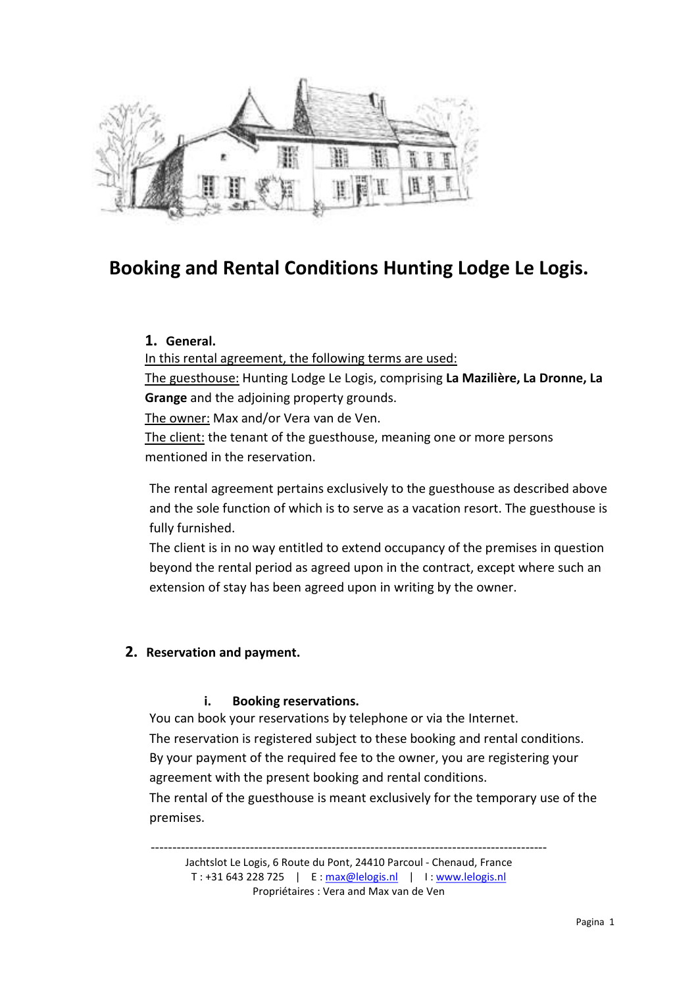

# Booking and Rental Conditions Hunting Lodge Le Logis.

# 1. General.

In this rental agreement, the following terms are used:

The guesthouse: Hunting Lodge Le Logis, comprising La Mazilière, La Dronne, La Grange and the adjoining property grounds.

The owner: Max and/or Vera van de Ven.

The client: the tenant of the guesthouse, meaning one or more persons mentioned in the reservation.

The rental agreement pertains exclusively to the guesthouse as described above and the sole function of which is to serve as a vacation resort. The guesthouse is fully furnished.

The client is in no way entitled to extend occupancy of the premises in question beyond the rental period as agreed upon in the contract, except where such an extension of stay has been agreed upon in writing by the owner.

# 2. Reservation and payment.

# i. Booking reservations.

You can book your reservations by telephone or via the Internet. The reservation is registered subject to these booking and rental conditions. By your payment of the required fee to the owner, you are registering your agreement with the present booking and rental conditions.

The rental of the guesthouse is meant exclusively for the temporary use of the premises.

--------------------------------------------------------------------------------------------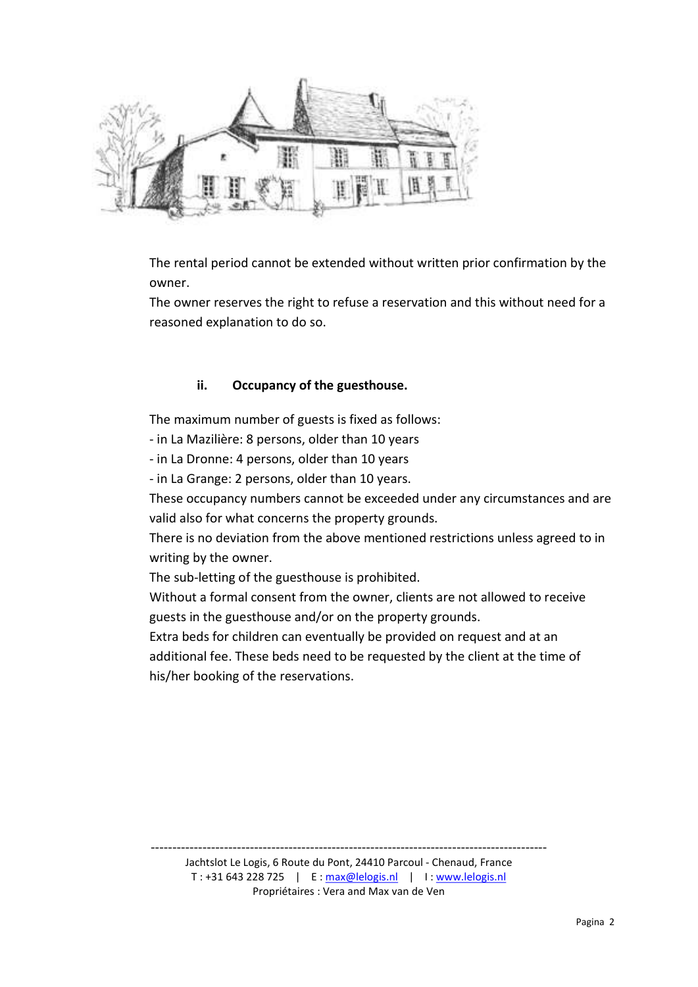

The rental period cannot be extended without written prior confirmation by the owner.

The owner reserves the right to refuse a reservation and this without need for a reasoned explanation to do so.

# ii. Occupancy of the guesthouse.

The maximum number of guests is fixed as follows:

- in La Mazilière: 8 persons, older than 10 years

- in La Dronne: 4 persons, older than 10 years

- in La Grange: 2 persons, older than 10 years.

These occupancy numbers cannot be exceeded under any circumstances and are valid also for what concerns the property grounds.

There is no deviation from the above mentioned restrictions unless agreed to in writing by the owner.

The sub-letting of the guesthouse is prohibited.

Without a formal consent from the owner, clients are not allowed to receive guests in the guesthouse and/or on the property grounds.

Extra beds for children can eventually be provided on request and at an additional fee. These beds need to be requested by the client at the time of his/her booking of the reservations.

--------------------------------------------------------------------------------------------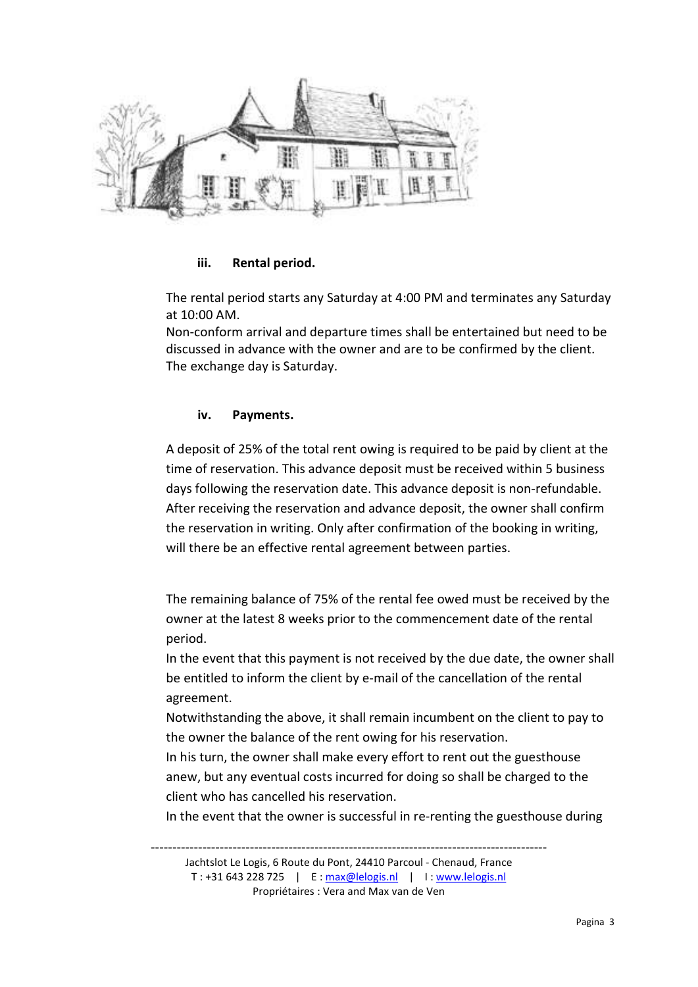

# iii. Rental period.

The rental period starts any Saturday at 4:00 PM and terminates any Saturday at 10:00 AM.

Non-conform arrival and departure times shall be entertained but need to be discussed in advance with the owner and are to be confirmed by the client. The exchange day is Saturday.

# iv. Payments.

A deposit of 25% of the total rent owing is required to be paid by client at the time of reservation. This advance deposit must be received within 5 business days following the reservation date. This advance deposit is non-refundable. After receiving the reservation and advance deposit, the owner shall confirm the reservation in writing. Only after confirmation of the booking in writing, will there be an effective rental agreement between parties.

The remaining balance of 75% of the rental fee owed must be received by the owner at the latest 8 weeks prior to the commencement date of the rental period.

In the event that this payment is not received by the due date, the owner shall be entitled to inform the client by e-mail of the cancellation of the rental agreement.

Notwithstanding the above, it shall remain incumbent on the client to pay to the owner the balance of the rent owing for his reservation.

In his turn, the owner shall make every effort to rent out the guesthouse anew, but any eventual costs incurred for doing so shall be charged to the client who has cancelled his reservation.

In the event that the owner is successful in re-renting the guesthouse during

Jachtslot Le Logis, 6 Route du Pont, 24410 Parcoul - Chenaud, France T : +31 643 228 725 | E : max@lelogis.nl | I : www.lelogis.nl Propriétaires : Vera and Max van de Ven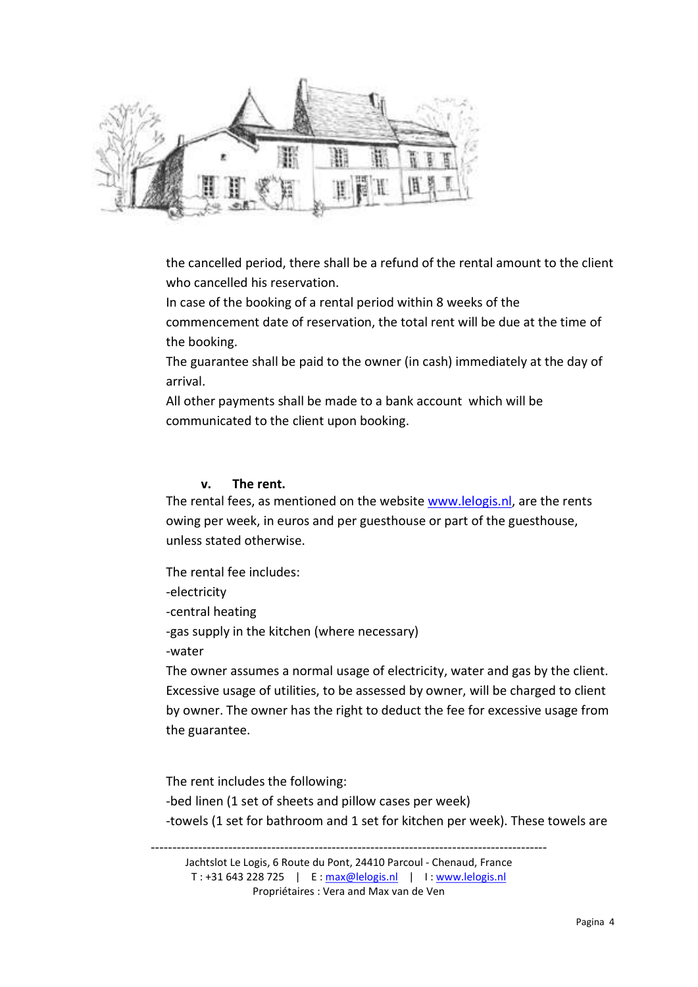

the cancelled period, there shall be a refund of the rental amount to the client who cancelled his reservation.

In case of the booking of a rental period within 8 weeks of the commencement date of reservation, the total rent will be due at the time of the booking.

The guarantee shall be paid to the owner (in cash) immediately at the day of arrival.

All other payments shall be made to a bank account which will be communicated to the client upon booking.

# v. The rent.

The rental fees, as mentioned on the website www.lelogis.nl, are the rents owing per week, in euros and per guesthouse or part of the guesthouse, unless stated otherwise.

The rental fee includes:

-electricity

-central heating

-gas supply in the kitchen (where necessary)

-water

The owner assumes a normal usage of electricity, water and gas by the client. Excessive usage of utilities, to be assessed by owner, will be charged to client by owner. The owner has the right to deduct the fee for excessive usage from the guarantee.

The rent includes the following: -bed linen (1 set of sheets and pillow cases per week) -towels (1 set for bathroom and 1 set for kitchen per week). These towels are

--------------------------------------------------------------------------------------------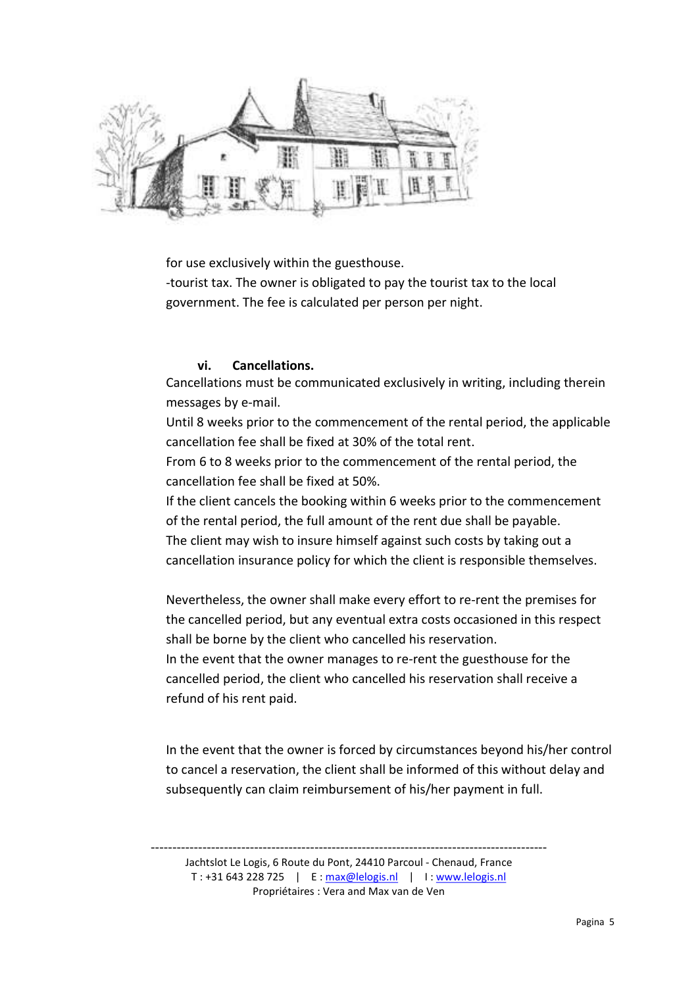

for use exclusively within the guesthouse.

-tourist tax. The owner is obligated to pay the tourist tax to the local government. The fee is calculated per person per night.

# vi. Cancellations.

Cancellations must be communicated exclusively in writing, including therein messages by e-mail.

Until 8 weeks prior to the commencement of the rental period, the applicable cancellation fee shall be fixed at 30% of the total rent.

From 6 to 8 weeks prior to the commencement of the rental period, the cancellation fee shall be fixed at 50%.

If the client cancels the booking within 6 weeks prior to the commencement of the rental period, the full amount of the rent due shall be payable. The client may wish to insure himself against such costs by taking out a cancellation insurance policy for which the client is responsible themselves.

Nevertheless, the owner shall make every effort to re-rent the premises for the cancelled period, but any eventual extra costs occasioned in this respect shall be borne by the client who cancelled his reservation.

In the event that the owner manages to re-rent the guesthouse for the cancelled period, the client who cancelled his reservation shall receive a refund of his rent paid.

In the event that the owner is forced by circumstances beyond his/her control to cancel a reservation, the client shall be informed of this without delay and subsequently can claim reimbursement of his/her payment in full.

--------------------------------------------------------------------------------------------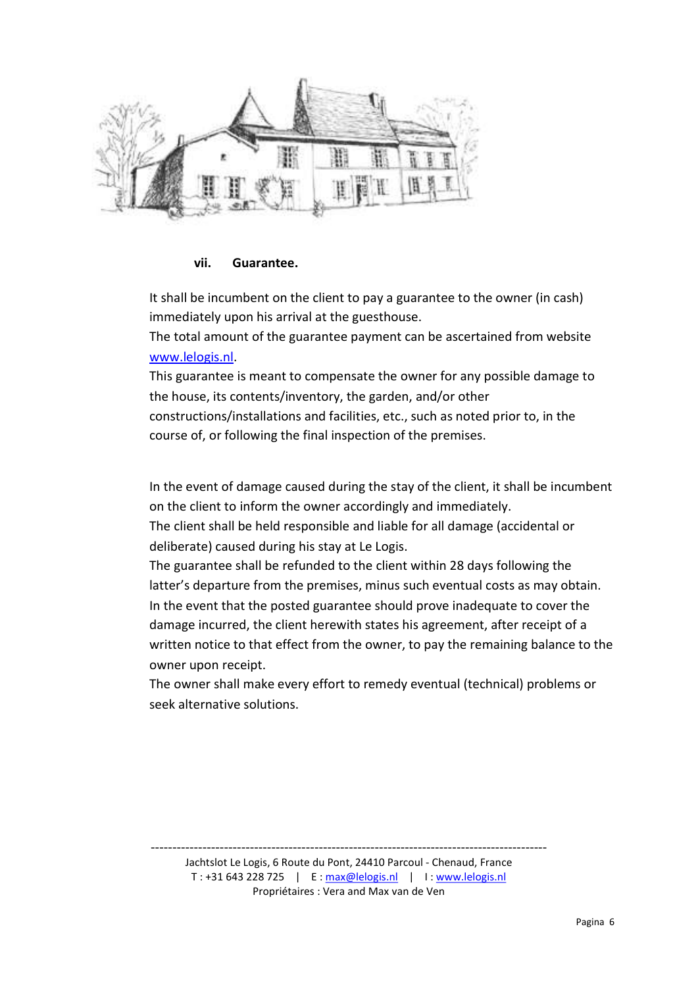

#### vii. Guarantee.

It shall be incumbent on the client to pay a guarantee to the owner (in cash) immediately upon his arrival at the guesthouse.

The total amount of the guarantee payment can be ascertained from website www.lelogis.nl.

This guarantee is meant to compensate the owner for any possible damage to the house, its contents/inventory, the garden, and/or other constructions/installations and facilities, etc., such as noted prior to, in the course of, or following the final inspection of the premises.

In the event of damage caused during the stay of the client, it shall be incumbent on the client to inform the owner accordingly and immediately.

The client shall be held responsible and liable for all damage (accidental or deliberate) caused during his stay at Le Logis.

The guarantee shall be refunded to the client within 28 days following the latter's departure from the premises, minus such eventual costs as may obtain. In the event that the posted guarantee should prove inadequate to cover the damage incurred, the client herewith states his agreement, after receipt of a written notice to that effect from the owner, to pay the remaining balance to the owner upon receipt.

The owner shall make every effort to remedy eventual (technical) problems or seek alternative solutions.

-------------------------------------------------------------------------------------------- Jachtslot Le Logis, 6 Route du Pont, 24410 Parcoul - Chenaud, France T : +31 643 228 725 | E : max@lelogis.nl | I : www.lelogis.nl

Propriétaires : Vera and Max van de Ven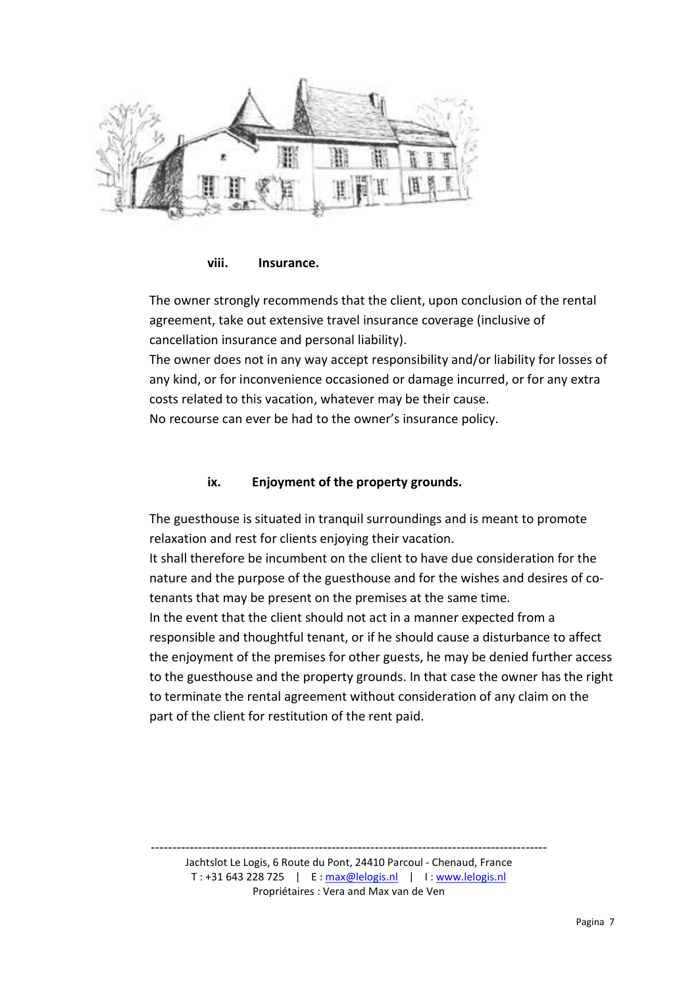

viii. Insurance.

The owner strongly recommends that the client, upon conclusion of the rental agreement, take out extensive travel insurance coverage (inclusive of cancellation insurance and personal liability).

The owner does not in any way accept responsibility and/or liability for losses of any kind, or for inconvenience occasioned or damage incurred, or for any extra costs related to this vacation, whatever may be their cause.

No recourse can ever be had to the owner's insurance policy.

# ix. Enjoyment of the property grounds.

The guesthouse is situated in tranquil surroundings and is meant to promote relaxation and rest for clients enjoying their vacation.

It shall therefore be incumbent on the client to have due consideration for the nature and the purpose of the guesthouse and for the wishes and desires of cotenants that may be present on the premises at the same time. In the event that the client should not act in a manner expected from a responsible and thoughtful tenant, or if he should cause a disturbance to affect the enjoyment of the premises for other guests, he may be denied further access to the guesthouse and the property grounds. In that case the owner has the right to terminate the rental agreement without consideration of any claim on the part of the client for restitution of the rent paid.

-------------------------------------------------------------------------------------------- Jachtslot Le Logis, 6 Route du Pont, 24410 Parcoul - Chenaud, France T : +31 643 228 725 | E : max@lelogis.nl | I : www.lelogis.nl Propriétaires : Vera and Max van de Ven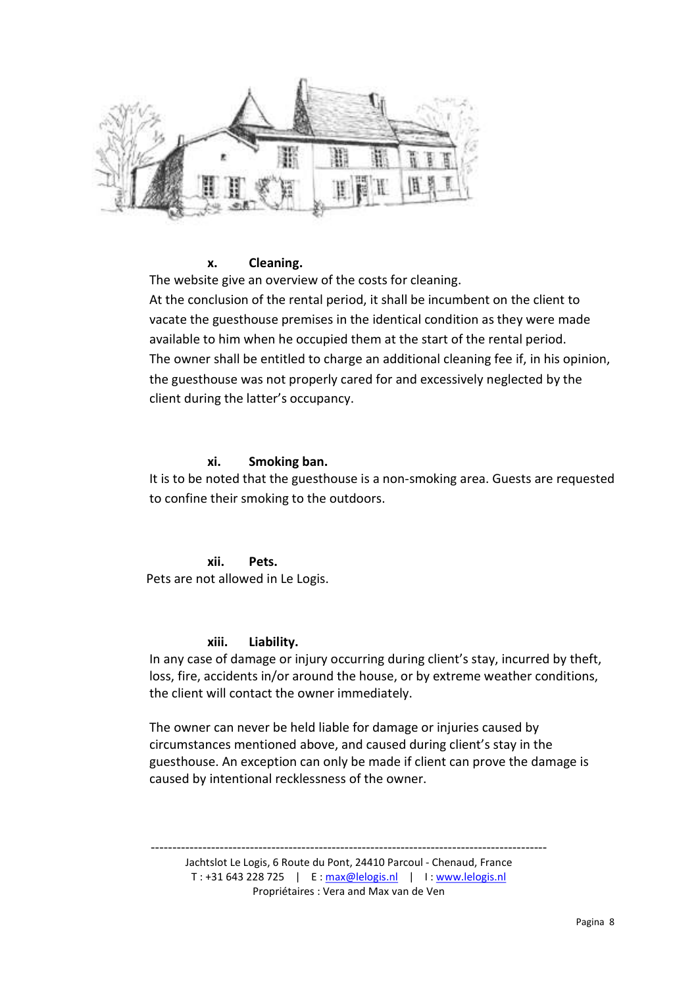

# x. Cleaning.

The website give an overview of the costs for cleaning. At the conclusion of the rental period, it shall be incumbent on the client to vacate the guesthouse premises in the identical condition as they were made available to him when he occupied them at the start of the rental period. The owner shall be entitled to charge an additional cleaning fee if, in his opinion, the guesthouse was not properly cared for and excessively neglected by the client during the latter's occupancy.

#### xi. Smoking ban.

It is to be noted that the guesthouse is a non-smoking area. Guests are requested to confine their smoking to the outdoors.

xii. Pets. Pets are not allowed in Le Logis.

#### xiii. Liability.

In any case of damage or injury occurring during client's stay, incurred by theft, loss, fire, accidents in/or around the house, or by extreme weather conditions, the client will contact the owner immediately.

The owner can never be held liable for damage or injuries caused by circumstances mentioned above, and caused during client's stay in the guesthouse. An exception can only be made if client can prove the damage is caused by intentional recklessness of the owner.

--------------------------------------------------------------------------------------------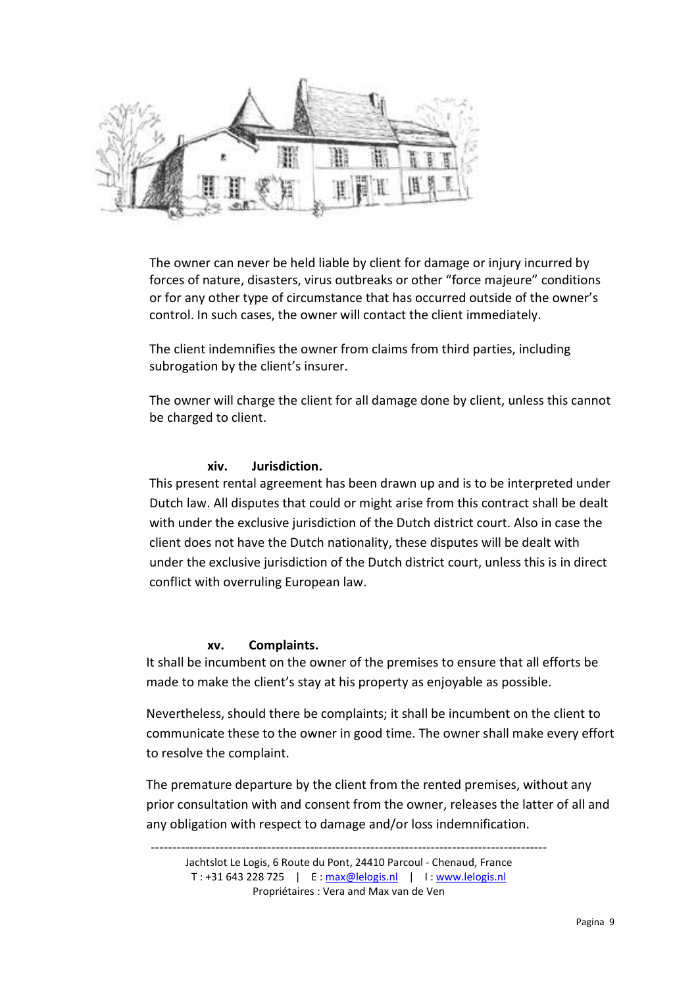

The owner can never be held liable by client for damage or injury incurred by forces of nature, disasters, virus outbreaks or other "force majeure" conditions or for any other type of circumstance that has occurred outside of the owner's control. In such cases, the owner will contact the client immediately.

The client indemnifies the owner from claims from third parties, including subrogation by the client's insurer.

The owner will charge the client for all damage done by client, unless this cannot be charged to client.

# xiv. Jurisdiction.

This present rental agreement has been drawn up and is to be interpreted under Dutch law. All disputes that could or might arise from this contract shall be dealt with under the exclusive jurisdiction of the Dutch district court. Also in case the client does not have the Dutch nationality, these disputes will be dealt with under the exclusive jurisdiction of the Dutch district court, unless this is in direct conflict with overruling European law.

# xv. Complaints.

It shall be incumbent on the owner of the premises to ensure that all efforts be made to make the client's stay at his property as enjoyable as possible.

Nevertheless, should there be complaints; it shall be incumbent on the client to communicate these to the owner in good time. The owner shall make every effort to resolve the complaint.

The premature departure by the client from the rented premises, without any prior consultation with and consent from the owner, releases the latter of all and any obligation with respect to damage and/or loss indemnification.

-------------------------------------------------------------------------------------------- Jachtslot Le Logis, 6 Route du Pont, 24410 Parcoul - Chenaud, France T : +31 643 228 725 | E : max@lelogis.nl | I : www.lelogis.nl Propriétaires : Vera and Max van de Ven